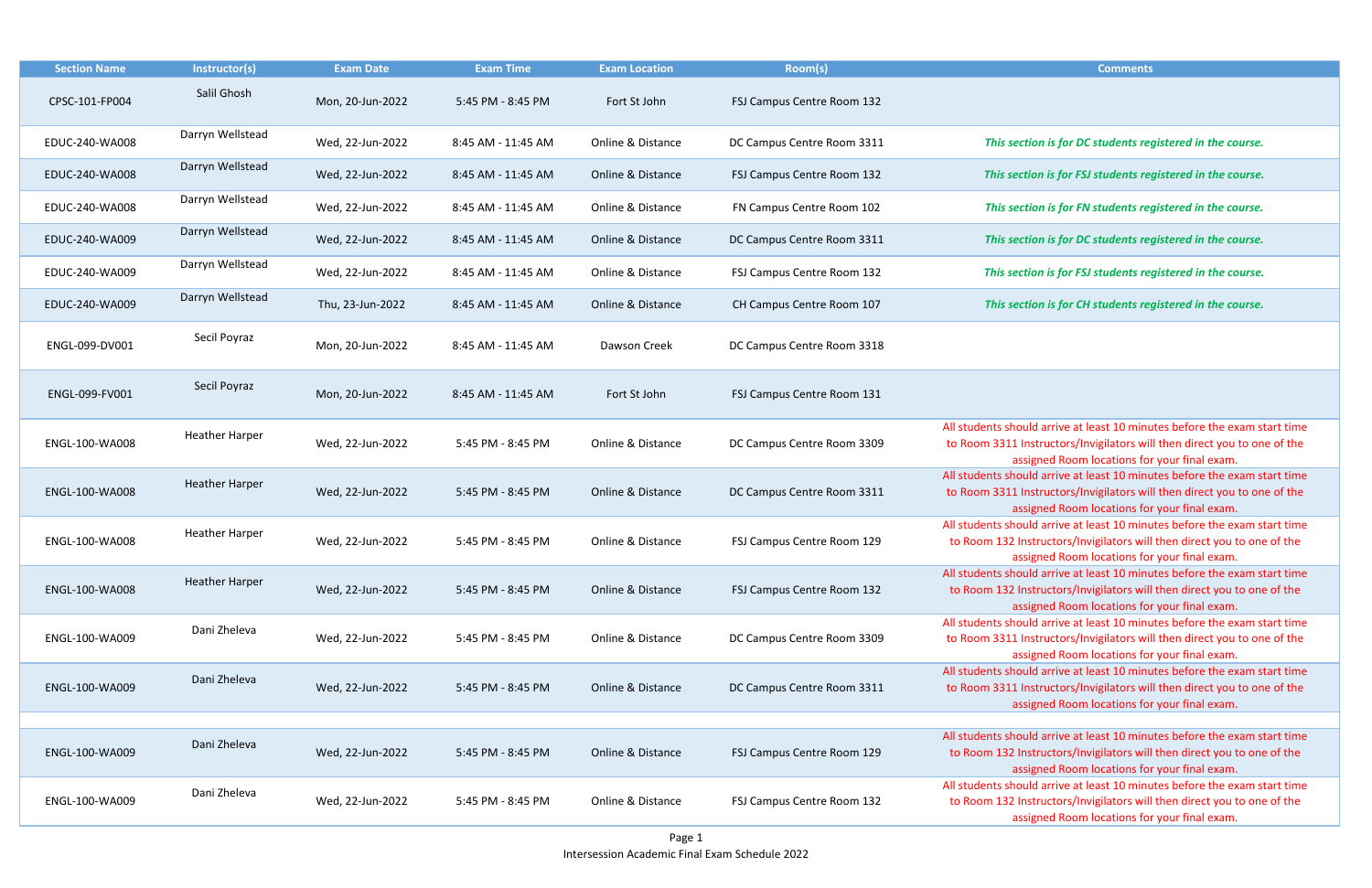Darryn Wellstead Wed, 22-Jun-2022 8:45 AM - 11:45 AM Online & Distance FSJ Campus Centre Room 132 *This section is for FSJ students registered in the course.*

Barryn Darryn Wedents Bun-2022 <sup>is a</sup> section is for FN students registered in the course.

section is for DC students registered in the course.

section is for FSJ students registered in the course.

section is for CH students registered in the course.

should arrive at least 10 minutes before the exam start time 11 Instructors/Invigilators will then direct you to one of the assigned Room locations for your final exam.

hould arrive at least 10 minutes before the exam start time 11 Instructors/Invigilators will then direct you to one of the assigned Room locations for your final exam.

should arrive at least 10 minutes before the exam start time 32 Instructors/Invigilators will then direct you to one of the assigned Room locations for your final exam.

hould arrive at least 10 minutes before the exam start time 132 Instructors/Invigilators will then direct you to one of the assigned Room locations for your final exam.

should arrive at least 10 minutes before the exam start time 11 Instructors/Invigilators will then direct you to one of the assigned Room locations for your final exam.

hould arrive at least 10 minutes before the exam start time 11 Instructors/Invigilators will then direct you to one of the assigned Room locations for your final exam.

should arrive at least 10 minutes before the exam start time 2 Instructors/Invigilators will then direct you to one of the assigned Room locations for your final exam.

| <b>Section Name</b> | Instructor(s)         | <b>Exam Date</b> | <b>Exam Time</b>   | <b>Exam Location</b> | Room(s)                    | <b>Comments</b>                                                                                                         |
|---------------------|-----------------------|------------------|--------------------|----------------------|----------------------------|-------------------------------------------------------------------------------------------------------------------------|
| CPSC-101-FP004      | Salil Ghosh           | Mon, 20-Jun-2022 | 5:45 PM - 8:45 PM  | Fort St John         | FSJ Campus Centre Room 132 |                                                                                                                         |
| EDUC-240-WA008      | Darryn Wellstead      | Wed, 22-Jun-2022 | 8:45 AM - 11:45 AM | Online & Distance    | DC Campus Centre Room 3311 | This section is for DC students reg                                                                                     |
| EDUC-240-WA008      | Darryn Wellstead      | Wed, 22-Jun-2022 | 8:45 AM - 11:45 AM | Online & Distance    | FSJ Campus Centre Room 132 | This section is for FSJ students reg                                                                                    |
| EDUC-240-WA008      | Darryn Wellstead      | Wed, 22-Jun-2022 | 8:45 AM - 11:45 AM | Online & Distance    | FN Campus Centre Room 102  | This section is for FN students reg                                                                                     |
| EDUC-240-WA009      | Darryn Wellstead      | Wed, 22-Jun-2022 | 8:45 AM - 11:45 AM | Online & Distance    | DC Campus Centre Room 3311 | This section is for DC students reg                                                                                     |
| EDUC-240-WA009      | Darryn Wellstead      | Wed, 22-Jun-2022 | 8:45 AM - 11:45 AM | Online & Distance    | FSJ Campus Centre Room 132 | This section is for FSJ students reg                                                                                    |
| EDUC-240-WA009      | Darryn Wellstead      | Thu, 23-Jun-2022 | 8:45 AM - 11:45 AM | Online & Distance    | CH Campus Centre Room 107  | This section is for CH students reg                                                                                     |
| ENGL-099-DV001      | Secil Poyraz          | Mon, 20-Jun-2022 | 8:45 AM - 11:45 AM | Dawson Creek         | DC Campus Centre Room 3318 |                                                                                                                         |
| ENGL-099-FV001      | Secil Poyraz          | Mon, 20-Jun-2022 | 8:45 AM - 11:45 AM | Fort St John         | FSJ Campus Centre Room 131 |                                                                                                                         |
| ENGL-100-WA008      | <b>Heather Harper</b> | Wed, 22-Jun-2022 | 5:45 PM - 8:45 PM  | Online & Distance    | DC Campus Centre Room 3309 | All students should arrive at least 10 minu<br>to Room 3311 Instructors/Invigilators wil<br>assigned Room locations for |
| ENGL-100-WA008      | <b>Heather Harper</b> | Wed, 22-Jun-2022 | 5:45 PM - 8:45 PM  | Online & Distance    | DC Campus Centre Room 3311 | All students should arrive at least 10 minu<br>to Room 3311 Instructors/Invigilators wil<br>assigned Room locations for |
| ENGL-100-WA008      | <b>Heather Harper</b> | Wed, 22-Jun-2022 | 5:45 PM - 8:45 PM  | Online & Distance    | FSJ Campus Centre Room 129 | All students should arrive at least 10 minu<br>to Room 132 Instructors/Invigilators will<br>assigned Room locations for |
| ENGL-100-WA008      | <b>Heather Harper</b> | Wed, 22-Jun-2022 | 5:45 PM - 8:45 PM  | Online & Distance    | FSJ Campus Centre Room 132 | All students should arrive at least 10 minu<br>to Room 132 Instructors/Invigilators will<br>assigned Room locations for |
| ENGL-100-WA009      | Dani Zheleva          | Wed, 22-Jun-2022 | 5:45 PM - 8:45 PM  | Online & Distance    | DC Campus Centre Room 3309 | All students should arrive at least 10 minu<br>to Room 3311 Instructors/Invigilators wil<br>assigned Room locations for |
| ENGL-100-WA009      | Dani Zheleva          | Wed, 22-Jun-2022 | 5:45 PM - 8:45 PM  | Online & Distance    | DC Campus Centre Room 3311 | All students should arrive at least 10 minu<br>to Room 3311 Instructors/Invigilators wil<br>assigned Room locations for |
|                     | Dani Zheleva          |                  |                    |                      |                            | All students should arrive at least 10 minu                                                                             |
| ENGL-100-WA009      |                       | Wed, 22-Jun-2022 | 5:45 PM - 8:45 PM  | Online & Distance    | FSJ Campus Centre Room 129 | to Room 132 Instructors/Invigilators will<br>assigned Room locations for                                                |
| ENGL-100-WA009      | Dani Zheleva          | Wed, 22-Jun-2022 | 5:45 PM - 8:45 PM  | Online & Distance    | FSJ Campus Centre Room 132 | All students should arrive at least 10 minu<br>to Room 132 Instructors/Invigilators will<br>assigned Room locations for |

should arrive at least 10 minutes before the exam start time 132 Instructors/Invigilators will then direct you to one of the assigned Room locations for your final exam.

| Comments |  |
|----------|--|
|          |  |

section is for DC students registered in the course.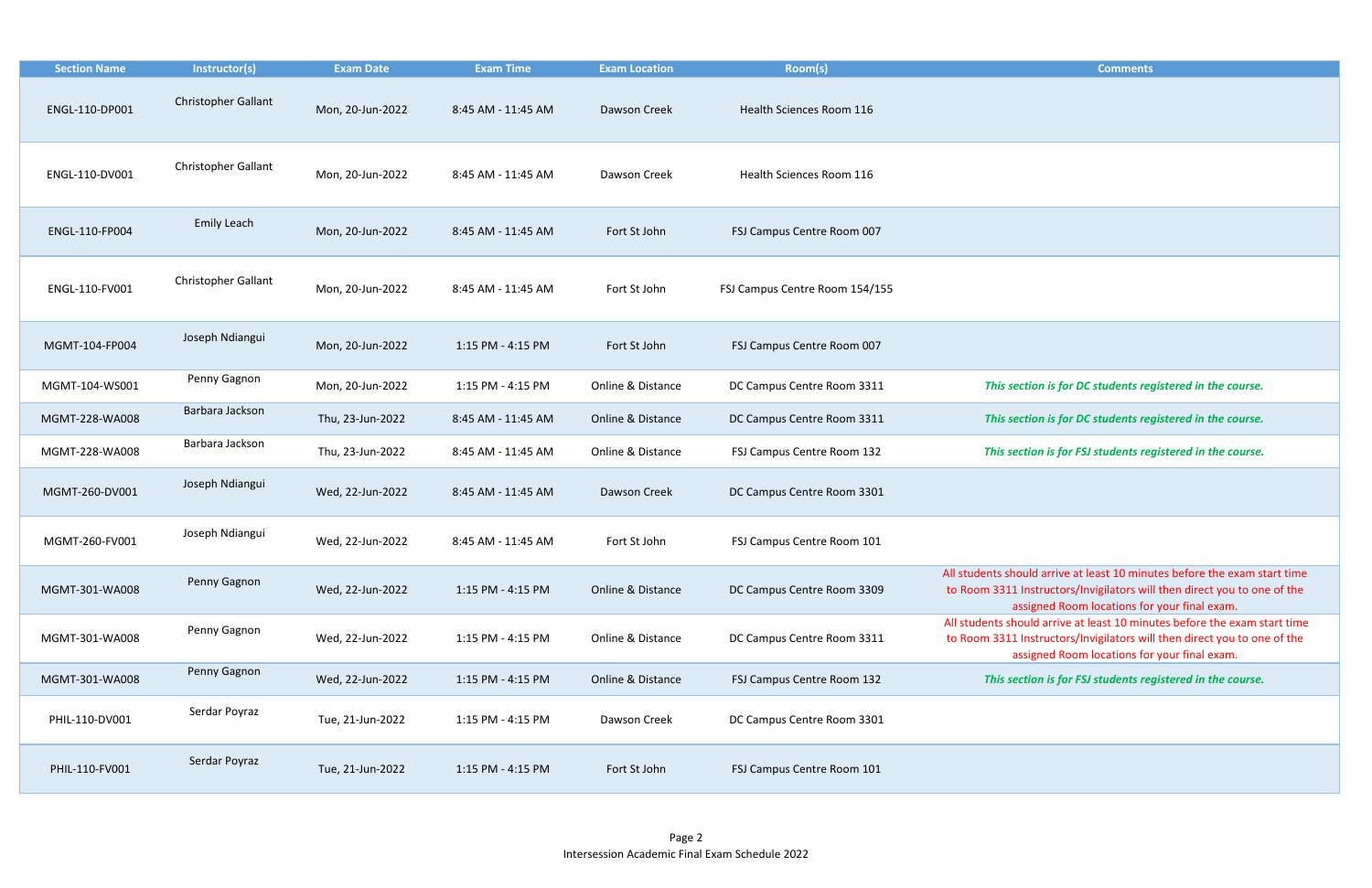| <b>Section Name</b> | Instructor(s)              | <b>Exam Date</b> | <b>Exam Time</b>   | <b>Exam Location</b> | Room(s)                        | <b>Comments</b>                                                                                                                                                                      |
|---------------------|----------------------------|------------------|--------------------|----------------------|--------------------------------|--------------------------------------------------------------------------------------------------------------------------------------------------------------------------------------|
| ENGL-110-DP001      | <b>Christopher Gallant</b> | Mon, 20-Jun-2022 | 8:45 AM - 11:45 AM | Dawson Creek         | Health Sciences Room 116       |                                                                                                                                                                                      |
| ENGL-110-DV001      | Christopher Gallant        | Mon, 20-Jun-2022 | 8:45 AM - 11:45 AM | Dawson Creek         | Health Sciences Room 116       |                                                                                                                                                                                      |
| ENGL-110-FP004      | Emily Leach                | Mon, 20-Jun-2022 | 8:45 AM - 11:45 AM | Fort St John         | FSJ Campus Centre Room 007     |                                                                                                                                                                                      |
| ENGL-110-FV001      | <b>Christopher Gallant</b> | Mon, 20-Jun-2022 | 8:45 AM - 11:45 AM | Fort St John         | FSJ Campus Centre Room 154/155 |                                                                                                                                                                                      |
| MGMT-104-FP004      | Joseph Ndiangui            | Mon, 20-Jun-2022 | 1:15 PM - 4:15 PM  | Fort St John         | FSJ Campus Centre Room 007     |                                                                                                                                                                                      |
| MGMT-104-WS001      | Penny Gagnon               | Mon, 20-Jun-2022 | 1:15 PM - 4:15 PM  | Online & Distance    | DC Campus Centre Room 3311     | This section is for DC students registered in the course.                                                                                                                            |
| MGMT-228-WA008      | Barbara Jackson            | Thu, 23-Jun-2022 | 8:45 AM - 11:45 AM | Online & Distance    | DC Campus Centre Room 3311     | This section is for DC students registered in the course.                                                                                                                            |
| MGMT-228-WA008      | Barbara Jackson            | Thu, 23-Jun-2022 | 8:45 AM - 11:45 AM | Online & Distance    | FSJ Campus Centre Room 132     | This section is for FSJ students registered in the course.                                                                                                                           |
| MGMT-260-DV001      | Joseph Ndiangui            | Wed, 22-Jun-2022 | 8:45 AM - 11:45 AM | Dawson Creek         | DC Campus Centre Room 3301     |                                                                                                                                                                                      |
| MGMT-260-FV001      | Joseph Ndiangui            | Wed, 22-Jun-2022 | 8:45 AM - 11:45 AM | Fort St John         | FSJ Campus Centre Room 101     |                                                                                                                                                                                      |
| MGMT-301-WA008      | Penny Gagnon               | Wed, 22-Jun-2022 | 1:15 PM - 4:15 PM  | Online & Distance    | DC Campus Centre Room 3309     | All students should arrive at least 10 minutes before the exam s<br>to Room 3311 Instructors/Invigilators will then direct you to on<br>assigned Room locations for your final exam. |
| MGMT-301-WA008      | Penny Gagnon               | Wed, 22-Jun-2022 | 1:15 PM - 4:15 PM  | Online & Distance    | DC Campus Centre Room 3311     | All students should arrive at least 10 minutes before the exam s<br>to Room 3311 Instructors/Invigilators will then direct you to on<br>assigned Room locations for your final exam. |
| MGMT-301-WA008      | Penny Gagnon               | Wed, 22-Jun-2022 | 1:15 PM - 4:15 PM  | Online & Distance    | FSJ Campus Centre Room 132     | This section is for FSJ students registered in the course.                                                                                                                           |
| PHIL-110-DV001      | Serdar Poyraz              | Tue, 21-Jun-2022 | 1:15 PM - 4:15 PM  | Dawson Creek         | DC Campus Centre Room 3301     |                                                                                                                                                                                      |
| PHIL-110-FV001      | Serdar Poyraz              | Tue, 21-Jun-2022 | 1:15 PM - 4:15 PM  | Fort St John         | FSJ Campus Centre Room 101     |                                                                                                                                                                                      |

| <b>Comments</b>                                                           |
|---------------------------------------------------------------------------|
|                                                                           |
|                                                                           |
|                                                                           |
|                                                                           |
|                                                                           |
|                                                                           |
|                                                                           |
|                                                                           |
|                                                                           |
|                                                                           |
|                                                                           |
|                                                                           |
|                                                                           |
|                                                                           |
|                                                                           |
|                                                                           |
|                                                                           |
|                                                                           |
| This section is for DC students registered in the course.                 |
|                                                                           |
| This section is for DC students registered in the course.                 |
|                                                                           |
| This section is for FSJ students registered in the course.                |
|                                                                           |
|                                                                           |
|                                                                           |
|                                                                           |
|                                                                           |
|                                                                           |
| All students should arrive at least 10 minutes before the exam start time |
| to Room 3311 Instructors/Invigilators will then direct you to one of the  |
| assigned Room locations for your final exam.                              |
| All students should arrive at least 10 minutes before the exam start time |
| to Room 3311 Instructors/Invigilators will then direct you to one of the  |
| assigned Room locations for your final exam.                              |